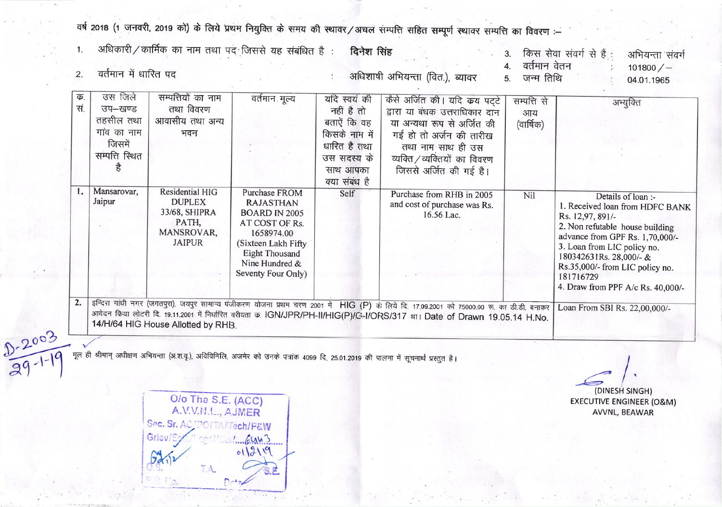वर्ष 2018 (1 जनवरी, 2019 को) के लिये प्रथम नियुक्ति के समय की स्थावर/अचल सम्पत्ति सहित सम्पूर्ण स्थावर सम्पत्ति का विवरण :-

| क.<br>सं.               | उस जिले<br>उप-खण्ड<br>तहसील तथा<br>गांव का नाम<br>जिसमें<br>सम्पत्ति स्थित<br>है | सम्पत्तियों का नाम<br>तथा विवरण<br>आवासीय तथा अन्य<br>भवन                                 | वर्तमान मूल्य                                                                                                                                                                            | यदि स्वयं की<br>नहीं है तो<br>बताऐं कि वह<br>किसके नाम में<br>धारित है तथा<br>उस सदस्य के<br>साथ आपका<br>क्या संबंध है | कैसे अर्जित की। यदि कय पट्टे<br>द्वारा या बंधक उत्तराधिकार दान<br>या अन्यथा रूप से अर्जित की<br>गई हो तो अर्जन की तारीख<br>तथा नाम साथ ही उस<br>व्यक्ति / व्यक्तियों का विवरण<br>जिससे अर्जित की गई है।                                                                 | सम्पत्ति से<br>आय<br>(वार्षिक) | अभ्युक्ति                                                                                                                                                                                                                                                                                      |
|-------------------------|----------------------------------------------------------------------------------|-------------------------------------------------------------------------------------------|------------------------------------------------------------------------------------------------------------------------------------------------------------------------------------------|------------------------------------------------------------------------------------------------------------------------|-------------------------------------------------------------------------------------------------------------------------------------------------------------------------------------------------------------------------------------------------------------------------|--------------------------------|------------------------------------------------------------------------------------------------------------------------------------------------------------------------------------------------------------------------------------------------------------------------------------------------|
| 1.                      | Mansarovar,<br>Jaipur                                                            | Residential HIG<br><b>DUPLEX</b><br>33/68, SHIPRA<br>PATH,<br>MANSROVAR,<br><b>JAIPUR</b> | <b>Purchase FROM</b><br><b>RAJASTHAN</b><br><b>BOARD IN 2005</b><br>AT COST OF Rs.<br>1658974.00<br>(Sixteen Lakh Fifty<br><b>Eight Thousand</b><br>Nine Hundred &<br>Seventy Four Only) | Self                                                                                                                   | Purchase from RHB in 2005<br>and cost of purchase was Rs.<br>16.56 Lac.                                                                                                                                                                                                 | Nil                            | Details of loan :-<br>1. Received loan from HDFC BANK<br>Rs. 12,97, 891/-<br>2. Non refutable house building<br>advance from GPF Rs. 1,70,000/-<br>3. Loan from LIC policy no.<br>180342631Rs. 28,000/- &<br>Rs.35,000/- from LIC policy no.<br>181716729<br>4. Draw from PPF A/c Rs. 40,000/- |
| 2.<br>$2003$<br>29-1-19 |                                                                                  | 14/H/64 HIG House Allotted by RHB.                                                        |                                                                                                                                                                                          |                                                                                                                        | इन्दिरा गांधी नगर (जगतपुरा), जयपुर सामान्य पंजीकरण योजना प्रथम चरण 2001 में HIG (P) के लिये दि. 17.09.2001 को 75000.00 रू. का डी.डी. बनाकर<br>आवेदन किया लोटरी दि. 19.11.2001 में निर्धारित वरीयता क. IGN/JPR/PH-II/HIG(P)/G-I/ORS/317 था। Date of Drawn 19.05.14 H.No. |                                | Loan From SBI Rs. 22,00,000/-                                                                                                                                                                                                                                                                  |

O/o The S.E. (ACC)<br>A.V.V.N.L., AJMER Sec. Sr. AC/PO/TA/Tech/P&W Griev/E  $1 - 6443$  $011219$ T.A.  $D - 4a$ 

(DINESH SINGH) **EXECUTIVE ENGINEER (O&M)** AVVNL, BEAWAR